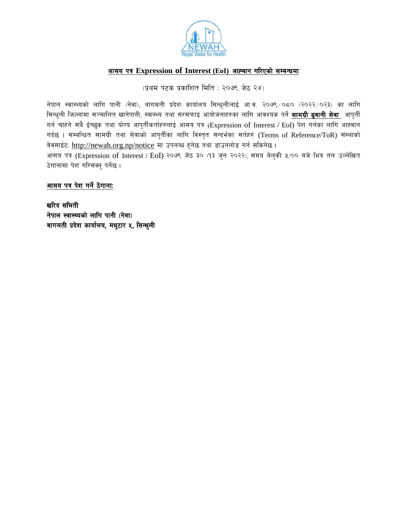

# आसय पत्र Expression of Interest (EoI) आह्वान गरिएको सम्बन्धमा

(प्रथम पटक प्रकाशित मिति: २०७९ जेठ २४)

नेपाल स्वास्थ्यको लागि पानी (नेवा), बागमती प्रदेश कार्यालय सिन्धुलीलाई आ.व. २०७९ /०८० (२०२२/०२३) का लागि सिन्धुली जिल्लामा सञ्चालित खानेपानी, स्वास्थ्य तथा सरसफाइ आयोजनाहरुका लागि आवश्यक पर्ने **सामग्री ढ्वानी सेवा** आपुर्ती गर्न चाहने सबै ईच्छुक तथा योग्य आपुर्तीकर्ताहरुलाई आसय पत्र (Expression of Interest / EoI) पेश गर्नका लागि आह्वान गर्दछ। सम्बन्धित सामग्री तथा सेवाको आपुर्तीका लागि विस्तृत सन्दर्भका सर्तहरु (Terms of Reference/ToR) संस्थाको वेवसाईटः http://newah.org.np/notice मा उपलब्ध हुनेछ तथा डाउनलोड गर्न सकिनेछ ।

आसय पत्र (Expression of Interest / EoI) २०७९ जेठ ३० (१३ जुन २०२२), समय बेलुकी ५:०० बजे भित्र तल उल्लेखित ठेगानामा पेश गरिसक्न् पर्नेछ।

### आसय पत्र पेश गर्ने ठेगानाः

खरिद समिती नेपाल स्वास्थ्यको लागि पानी (नेवा) बागमती प्रदेश कार्यालय, मधुटार ५, सिन्धुली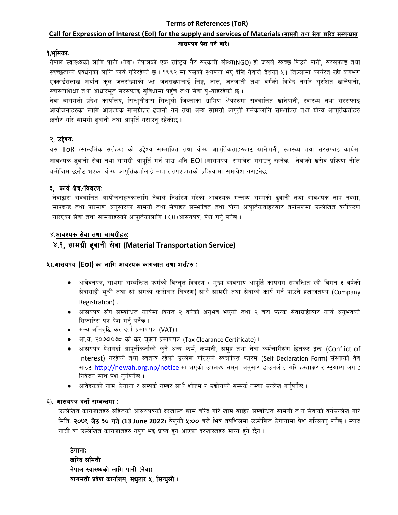#### **Terms of References (ToR)**

# Call for Expression of Interest (EoI) for the supply and services of Materials (सामग्री तथा सेवा खरिद सम्बन्धमा आसयपत्र पेश गर्ने बारे)

### १.भूमिकाः

नेपाल स्वास्थ्यको लागि पानी (नेवा) नेपालको एक राष्ट्रिय गैर सरकारी संस्था(NGO) हो जसले स्वच्छ पिउने पानी, सरसफाइ तथा स्वच्छताको प्रवर्धनका लागि कार्य गरिरहेको छ। १९९२ मा यसको स्थापना भए देखि नेवाले देशका ५१ जिल्लामा कार्यरत रही लगभग एक्काईसलाख अर्थात कुल जनसंख्याको ७% जनसंख्यालाई लिंङ्ग, जात, जनजाती तथा वर्गको विभेद नगरि सुरक्षित खानेपानी, स्वास्थ्यशिक्षा तथा आधारभूत सरसफाइ सुविधामा पहुंच तथा सेवा पु-याइरहेको छ।

नेवा बागमती प्रदेश कार्यालय, सिन्धुलीद्वारा सिन्धुली जिल्लाका ग्रामिण क्षेत्रहरुमा सञ्चालित खानेपानी, स्वास्थ्य तथा सरसफाइ आयोजनाहरुका लागि आवश्यक सामग्रीहरु ढुवानी गर्न तथा अन्य सामग्री आपूर्ती गर्नकालागि सम्भावित तथा योग्य आपूर्तिकर्ताहरु छनौट गरि सामग्री ढ्वानी तथा आपूर्ति गराउन् रहेकोछ ।

### २, उद्देश्यः

यस ToR (सान्दर्भिक सर्तहरु) को उद्देश्य सम्भावित तथा योग्य आपूर्तिकर्ताहरुबाट खानेपानी, स्वास्थ्य तथा सरसफाइ कार्यमा आवश्यक ढुवानी सेवा तथा सामग्री आपूर्ति गर्न पाउं भनि EOI (आसयपत्र) समावेश गराउनु रहनेछ । नेवाको खरीद प्रक्रिया नीति बमोजिम छनौट भएका योग्य आपुर्तिकर्तालाई मात्र ततपश्चातको प्रक्रियामा समावेश गराइनेछ ।

#### ३, कार्य क्षेत्र/विवरण:

नेवाद्वारा सञ्चालित आयोजनाहरुकालागि नेवाले निर्धारण गरेको आवश्यक गन्तव्य सम्मको ढवानी तथा आवश्यक नाप नक्सा, मापदन्ड तथा परिमाण अनुसारका सामग्री तथा सेवाहरु सम्भावित तथा योग्य आपूर्तिकर्ताहरुबाट तपसिलमा उल्लेखित वर्गीकरण गरिएका सेवा तथा सामग्रीहरुको आपर्तिकालागि EOI (आसयपत्र) पेश गर्नु पर्नेछ ।

#### ४.आवश्यक सेवा तथा सामग्रीहरुः

#### ४.१, सामग्री ढुवानी सेवा (Material Transportation Service)

#### ५).आसयपत्र (Eol) का लागि आवश्यक कागजात तथा शर्तहरु:

- आवेदनपत्र, साथमा सम्बन्धित फर्मको विस्तृत विवरण ( मुख्य ब्यवसाय आपूर्ति कार्यसंग सम्वन्धित रही विगत **३** वर्षको  $\bullet$ सेवाग्राही सुची तथा सो संगको कारोबार विवरण) साथै सामग्री तथा सेवाको कार्य गर्न पाउने इजाजतपत्र (Company Registration).
- आसयपत्र संग सम्बन्धित कार्यमा विगत २ वर्षको अनुभव भएको तथा २ वटा फरक सेवाग्राहीबाट कार्य अनुभवको  $\bullet$ सिफारिस पत्र पेश गर्न पर्नेछ ।
- मुल्य अभिबुद्धि कर दर्ता प्रमाणपत्र (VAT)।
- आ.व. २०७७०७८ को कर चुक्ता प्रमाणपत्र (Tax Clearance Certificate)।
- आसयपत्र पेशगर्दा आपुर्तीकर्ताको कृनै अन्य फर्म, कम्पनी, समुह तथा नेवा कर्मचारीसंग हितकर द्वन्द (Conflict of Interest) नरहेको तथा स्वतन्त्र रहेको उल्लेख गरिएको स्वघोषित फारम (Self Declaration Form) संस्थाको वेव साइट http://newah.org.np/notice मा भएको उपलब्ध नमुना अनुसार डाउनलोड गरि हस्ताक्षर र स्ट्याम्प लगाई निवेदन साथ पेश गर्नपर्नेछ।
- आवेदकको नाम, ठेगाना र सम्पर्क नम्बर साथै शोरुम र उद्योगको सम्पर्क नम्बर उल्लेख गर्नुपर्नेछ ।

#### ६). आसयपत्र दर्ता सम्बन्धमा :

उल्लेखित कागजातहरु सहितको आसयपत्रको दरखास्त खाम बन्दि गरि खाम बाहिर सम्बन्धित सामग्री तथा सेवाको वर्गउल्लेख गरि मिति: **२०७९ जेठ ३० गते (13 June 2022**) बेल्की **५:००** बजे भित्र तपशिलमा उल्लेखित ठेगानामा पेश गरिसक्न् पर्नेछ । म्याद नाघी वा उल्लेखित कागजातहरु नपुग भइ प्राप्त हुन आएका दरखास्तहरु मान्य हुने छैन ।

ठेगानाः खरिद समिती नेपाल स्वास्थ्यको लागि पानी (नेवा) बागमती प्रदेश कार्यालय, मधुटार ५, सिन्धुली।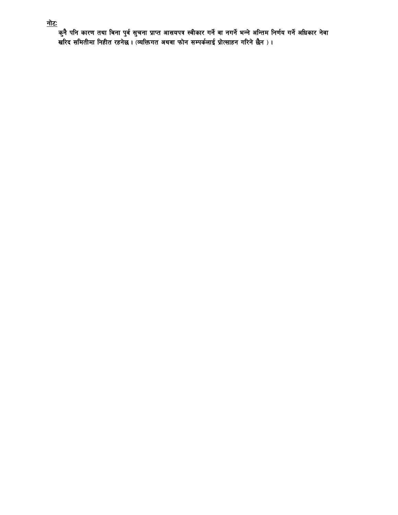<u>नोटः</u><br>कुनै पनि कारण तथा बिना पुर्व सुचना प्राप्त आसयपत्र स्वीकार गर्ने वा नगर्ने भन्ने अन्तिम निर्णय गर्ने अधिकार नेवा<br>खरिद समितीमा निहीत रहनेछ । (व्यक्तिगत अथवा फोन सम्पर्कलाई प्रोत्साहन गरिने छैन ) ।